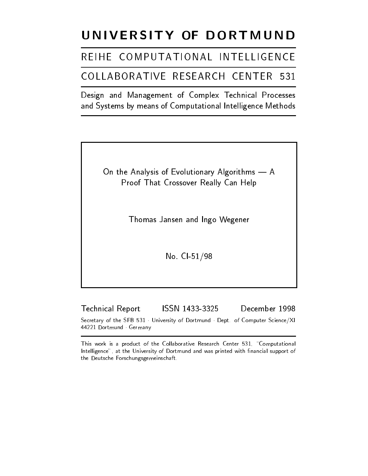# UNIVERSITY OF DORTMUND

# REIHE COMPUTATIONAL INTELLIGENCE

## COLLABORATIVE RESEARCH CENTER 531

Design and Management of Complex Technical Processes and Systems by means of Computational Intelligence Methods

> On the Analysis of Evolutionary Algorithms  $- A$ Proof That Crossover Really Can Help

> > Thomas Jansen and Ingo Wegener

No. CI-51/98

Technical Report ISSN 1433-3325 December 1998 Secretary of the SFB 531 University of Dortmund Dept. of Computer Science/XI 44221 Dortmund Germany

This work is a product of the Collaborative Research Center 531, "Computational Intelligence", at the University of Dortmund and was printed with financial support of the Deutsche Forschungsgemeinschaft.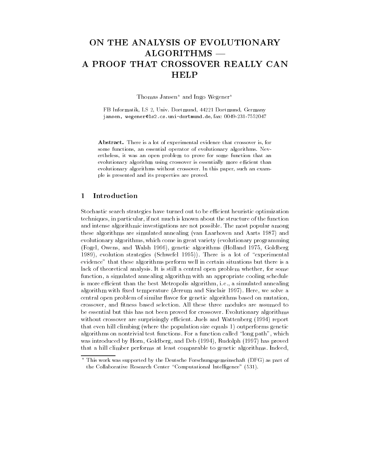### ON THE ANALYSIS OF EVOLUTIONARY  $\rm ALGORITHMS$   $-$ A PROOF THAT CROSSOVER REALLY CAN HELP

Thomas Jansen<sup>\*</sup> and Ingo Wegener<sup>\*</sup>

FB Informatik, LS 2, Univ. Dortmund, 44221 Dortmund, Germany jansen, wegener@ls2.cs.uni-dortmund.de, fax: 0049-231-7552047

Abstract. There is a lot of experimental evidence that crossover is, for some functions, an essential operator of evolutionary algorithms. Nevertheless, it was an open problem to prove for some function that an evolutionary algorithm using crossover is essentially more efficient than evolutionary algorithms without crossover. In this paper, such an example is presented and its properties are proved.

#### $\mathbf{1}$ **Introduction**

Stochastic search strategies have turned out to be efficient heuristic optimization techniques, in particular, if not much is known about the structure of the function and intense algorithmic investigations are not possible. The most popular among these algorithms are simulated annealing (van Laarhoven and Aarts 1987) and evolutionary algorithms, which come in great variety (evolutionary programming (Fogel, Owens, and Walsh 1966), genetic algorithms (Holland 1975, Goldberg 1989), evolution strategies (Schwefel 1995)). There is a lot of "experimental evidence" that these algorithms perform well in certain situations but there is a lack of theoretical analysis. It is still a central open problem whether, for some function, a simulated annealing algorithm with an appropriate cooling schedule is more efficient than the best Metropolis algorithm, i.e., a simulated annealing algorithm with fixed temperature (Jerrum and Sinclair 1997). Here, we solve a central open problem of similar flavor for genetic algorithms based on mutation, crossover, and fitness based selection. All these three modules are assumed to be essential but this has not been proved for crossover. Evolutionary algorithms without crossover are surprisingly efficient. Juels and Wattenberg (1994) report that even hill climbing (where the population size equals 1) outperforms genetic algorithms on nontrivial test functions. For a function called "long path", which was introduced by Horn, Goldberg, and Deb (1994), Rudolph (1997) has proved that a hill climber performs at least comparable to genetic algorithms. Indeed,

<sup>?</sup> This work was supported by the Deutsche Forschungsgemeinschaft (DFG) as part of the Collaborative Research Center "Computational Intelligence" (531).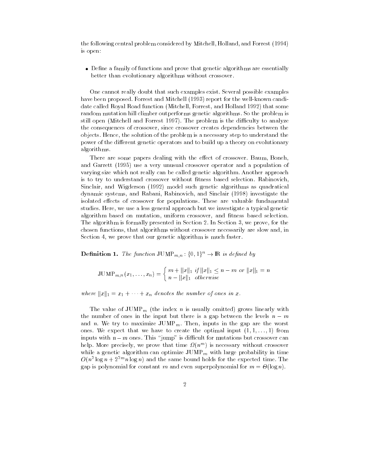the following central problem considered by Mitchell, Holland, and Forrest (1994) is open:

• Define a family of functions and prove that genetic algorithms are essentially better than evolutionary algorithms without crossover.

One cannot really doubt that such examples exist. Several possible examples have been proposed. Forrest and Mitchell (1993) report for the well-known candidate called Royal Road function (Mitchell, Forrest, and Holland 1992) that some random mutation hill climber outperforms genetic algorithms. So the problem is still open (Mitchell and Forrest 1997). The problem is the difficulty to analyze the consequences of crossover, since crossover creates dependencies between the objects. Hence, the solution of the problem is a necessary step to understand the power of the different genetic operators and to build up a theory on evolutionary algorithms.

There are some papers dealing with the effect of crossover. Baum, Boneh, and Garrett (1995) use a very unusual crossover operator and a population of varying size which not really can be called genetic algorithm. Another approach is to try to understand crossover without fitness based selection. Rabinovich, Sinclair, and Wigderson (1992) model such genetic algorithms as quadratical dynamic systems, and Rabani, Rabinovich, and Sinclair (1998) investigate the isolated effects of crossover for populations. These are valuable fundamental studies. Here, we use a less general approach but we investigate a typical genetic algorithm based on mutation, uniform crossover, and fitness based selection. The algorithm is formally presented in Section 2. In Section 3, we prove, for the chosen functions, that algorithms without crossover necessarily are slow and, in Section 4, we prove that our genetic algorithm is much faster.

**Definition 1.** The function  $JUMP_{m,n}$ :  $\{0,1\}^n \to \mathbb{R}$  is defined by

$$
\text{JUMP}_{m,n}(x_1,\ldots,x_n) = \begin{cases} m + \|x\|_1 \text{ if } \|x\|_1 \leq n - m \text{ or } \|x\|_1 = n \\ n - \|x\|_1 \text{ otherwise} \end{cases}
$$

where  $||x||_1 = x_1 + \cdots + x_n$  denotes the number of ones in x.

The value of  $\text{JUMP}_m$  (the index n is usually omitted) grows linearly with the number of ones in the input but there is a gap between the levels  $n - m$ and n. We try to maximize  $\text{JUMP}_m$ . Then, inputs in the gap are the worst ones. We expect that we have to create the optimal input  $(1, 1, \ldots, 1)$  from inputs with  $n-m$  ones. This "jump" is difficult for mutations but crossover can help. More precisely, we prove that time  $\nu(n^m)$  is necessary without crossover while a genetic algorithm can optimize  $\text{JUMP}_m$  with large probability in time  $O(n^2 \log n + 2^{2m} n \log n)$  and the same bound holds for the expected time. The gap is polynomial for constant m and even superpolynomial for m = -(log n).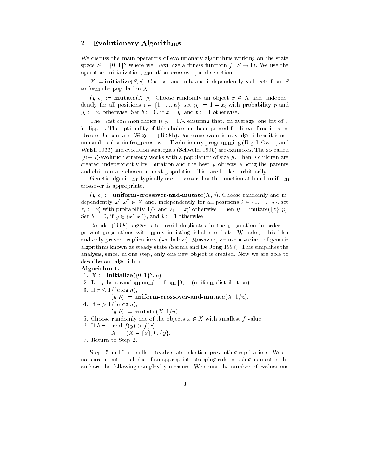### 2 Evolutionary Algorithms

We discuss the main operators of evolutionary algorithms working on the state space  $S = \{0, 1\}^n$  where we maximize a fitness function  $f: S \to \mathbb{R}$ . We use the operators initialization, mutation, crossover, and selection.

 $X := \textbf{initialize}(S, s)$ . Choose randomly and independently s objects from S to form the population  $X$ .

 $(y, b) := \textbf{mutate}(X, p)$ . Choose randomly an object  $x \in X$  and, independently for all positions  $i \in \{1, \ldots, n\}$ , set  $y_i := 1 - x_i$  with probability p and  $y_i := x_i$  otherwise. Set  $b := 0$ , if  $x = y$ , and  $b := 1$  otherwise.

The most common choice is  $p = 1/n$  ensuring that, on average, one bit of x is flipped. The optimality of this choice has been proved for linear functions by Droste, Jansen, and Wegener (1998b). For some evolutionary algorithms it is not unusual to abstain from crossover. Evolutionary programming (Fogel, Owen, and Walsh 1966) and evolution strategies (Schwefel 1995) are examples. The so-called  $(\mu+\lambda)$ -evolution strategy works with a population of size  $\mu$ . Then  $\lambda$  children are created independently by mutation and the best  $\mu$  objects among the parents and children are chosen as next population. Ties are broken arbitrarily.

Genetic algorithms typically use crossover. For the function at hand, uniform crossover is appropriate.

 $(y, b) :=$ **uniform-crossover-and-mutate** $(X, p)$ . Choose randomly and independently  $x', x'' \in X$  and, independently for all positions  $i \in \{1, \ldots, n\}$ , set  $z_i := x_i$  with probability  $1/2$  and  $z_i := x_i$  otherwise. Then  $y := \text{mutate}(\{z\}, p)$ . Set  $b := 0$ , if  $y \in \{x', x''\}$ , and  $b := 1$  otherwise.

Ronald (1998) suggests to avoid duplicates in the population in order to prevent populations with many indistinguishable objects. We adopt this idea and only prevent replications (see below). Moreover, we use a variant of genetic algorithms known as steady state (Sarma and De Jong 1997). This simplifies the analysis, since, in one step, only one new object is created. Now we are able to describe our algorithm.

#### Algorithm 1.

- 1.  $\Lambda$  :  $=$  initialize({0, 1}, n).
- 2. Let r be a random number from  $[0, 1]$  (uniform distribution).
- 3. If  $r < 1/(n \log n)$ ,
- $(y, b) :=$ **uniform-crossover-and-mutate** $(X, 1/n)$ .
- 4. If  $r > 1/(n \log n)$ ,
	- $(y, b) := \textbf{mutate}(X, 1/n).$
- 5. Choose randomly one of the objects  $x \in X$  with smallest f-value.
- 6. If  $b = 1$  and  $f(y) \geq f(x)$ ,
- $X := (X \{x\}) \cup \{y\}.$ 7. Return to Step 2.

Steps 5 and 6 are called steady state selection preventing replications. We do not care about the choice of an appropriate stopping rule by using as most of the authors the following complexity measure. We count the number of evaluations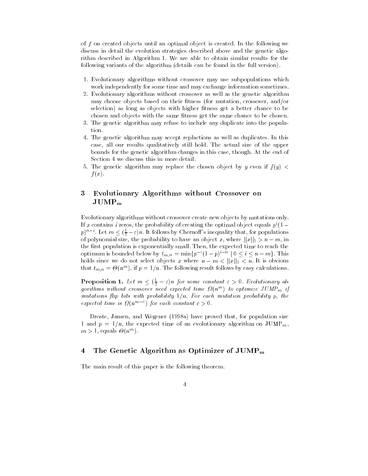of f on created objects until an optimal object is created. In the following we discuss in detail the evolution strategies described above and the genetic algorithm described in Algorithm 1. We are able to obtain similar results for the following variants of the algorithm (details can be found in the full version).

- 1. Evolutionary algorithms without crossover may use subpopulations which work independently for some time and may exchange information sometimes.
- 2. Evolutionary algorithms without crossover as well as the genetic algorithm may choose objects based on their fitness (for mutation, crossover, and/or selection) as long as objects with higher fitness get a better chance to be chosen and objects with the same fitness get the same chance to be chosen.
- 3. The genetic algorithm may refuse to include any duplicate into the population.
- 4. The genetic algorithm may accept replactions as well as duplicates. In this case, all our results qualitatively still hold. The actual size of the upper bounds for the genetic algorithm changes in this case, though. At the end of Section 4 we discuss this in more detail.
- 5. The genetic algorithm may replace the chosen object by y even if  $f(y)$  <  $f(x)$ .

#### 3 Evolutionary Algorithms without Crossover on 3  $\mathrm{JUMP}_m$

Evolutionary algorithms without crossover create new objects by mutations only. If x contains i zeros, the probability of creating the optimal object equals  $p^{i}(1 (p)^{n-i}$ . Let  $m \leq (\frac{1}{2} - \varepsilon)n$ . It follows by Chernoff's inequality that, for populations  $$ of polynomial size, the probability to have an object x, where jjxjj1 > n m, in the first population is exponentially small. Then, the expected time to reach the optimum is bounded below by  $t_{m,n} \equiv \min\{p \mid (1-p)^{n-1} \mid 0 \leq i \leq n-m\}$ . This holds since we do not select objects <sup>x</sup> where <sup>n</sup> m < jjxjj1 < n. It is obvious that  $t_{m,n} = \Theta(n^m)$ , if  $p = 1/n$ . The following result follows by easy calculations.

**Proposition 1.** Let  $m \leq (\frac{1}{2} - \varepsilon)n$  for some constant  $\varepsilon > 0$ . Evolutionary algorithms without crossover need expected time  $M(n^m)$  to optimize JUMP $_m$  if mutations 
ip bits with probability 1=n. For each mutation probability p, the expected time is  $M(n^{\alpha-1})$  for each constant  $c > 0$ .

Droste, Jansen, and Wegener (1998a) have proved that, for population size 1 and  $p = 1/n$ , the expected time of an evolutionary algorithm on  $\text{JUMP}_m$ ,  $m > 1$ , equals  $\sigma(n^{-1})$ .

#### 4 The Genetic Algorithm as Optimizer of  $\text{JUMP}_m$

The main result of this paper is the following theorem.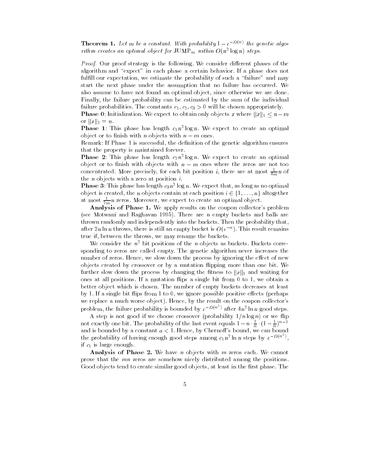**Theorem 1.** Let m be a constant. With probability  $1 - e^{-i\pi \langle u \rangle}$  the genetic algorithm creates an optimal object for  ${\rm JUMF}_m$  within  $O(n^2\log n)$  steps.

Proof. Our proof strategy is the following. We consider dierent phases of the algorithm and "expect" in each phase a certain behavior. If a phase does not fulfill our expectation, we estimate the probability of such a "failure" and may start the next phase under the assumption that no failure has occurred. We also assume to have not found an optimal object, since otherwise we are done. Finally, the failure probability can be estimated by the sum of the individual failure probabilities. The constants c1; c2; c3 <sup>&</sup>gt; 0 will be chosen appropriately.

Phase 0: Initialization. We expect to obtain only objects x where kxk1 nm or kxk1 <sup>=</sup> n.

**Phase 1**: This phase has length  $c_1n^2\log n$ . We expect to create an optimal object or to finish with *n* objects with  $n - m$  ones.

Remark: If Phase 1 is successful, the definition of the genetic algorithm ensures that the property is maintained forever.

**Phase** 2: This phase has length  $c_2n^2 \log n$ . We expect to create an optimal object or to finish with objects with  $n - m$  ones where the zeros are not too concentrated. More precisely, for each bit position *i*, there are at most  $\frac{1}{4m}n$  of the  $n$  objects with a zero at position  $i$ .

**Phase 3**: This phase has length  $c_3n^2\log n$  . We expect that, as long as no optimal object is created, the *n* objects contain at each position  $i \in \{1, ..., n\}$  altogether at most  $\frac{1}{2m}n$  zeros. Moreover, we expect to create an optimal object.

Analysis of Phase 1. We apply results on the coupon collector's problem (see Motwani and Raghavan 1995). There are  $n$  empty buckets and balls are thrown randomly and independently into the buckets. Then the probability that, after 2n in n throws, there is still an empty bucket is  $O(e^{-\gamma})$  . This result remains true if, between the throws, we may rename the buckets.

We consider the  $n^2$  bit positions of the n objects as buckets. Buckets corresponding to zeros are called empty. The genetic algorithm never increases the number of zeros. Hence, we slow down the process by ignoring the effect of new objects created by crossover or by a mutation flipping more than one bit. We  $\mathbf{r}$  is the process by changing the process by changing the process to know  $\mathbf{r}$ ones at all positions. If a mutation flips a single bit from  $0$  to  $1$ , we obtain a better object which is chosen. The number of empty buckets decreases at least by 1. If a single bit flips from 1 to 0, we ignore possible positive effects (perhaps we replace a much worse object). Hence, by the result on the coupon collector's problem, the failure probability is bounded by  $e^{-H(n^{-})}$  after  $4n^{2} \ln n$  good steps.

A step is not good if we choose crossover (probability  $1/n \log n$ ) or we flip not exactly one bit. The probability of the last event equals  $1 - n \cdot \frac{1}{n} \cdot (1 - \frac{1}{n})^{n-1}$ and is bounded by a constant  $a < 1$ . Hence, by Chernoff's bound, we can bound the probability of having enough good steps among  $c_1 n^2 \ln n$  steps by  $e^{-\Omega(n^2)}$ , if c1 is large enough.

Analysis of Phase 2. We have n objects with  $m$  zeros each. We cannot prove that the mn zeros are somehow nicely distributed among the positions. Good objects tend to create similar good objects, at least in the first phase. The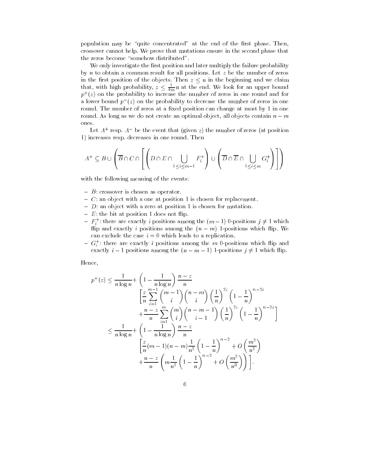population may be "quite concentrated" at the end of the first phase. Then, crossover cannot help. We prove that mutations ensure in the second phase that the zeros become "somehow distributed".

We only investigate the first position and later multiply the failure probability by n to obtain a common result for all positions. Let z be the number of zeros that, with high probability,  $z \leq \frac{1}{4m}n$  at the end. We look for an upper bound  $p^{\scriptscriptstyle +}(z)$  on the probability to increase the number of zeros in one round and for a lower bound  $p_{\parallel}(z)$  on the probability to decrease the number of zeros in one round. The number of zeros at a fixed position can change at most by 1 in one round. As long as we do not create an optimal object, all objects contain  $n - m$ 

Let  $A^+$  resp.  $A^-$  be the event that (given z) the number of zeros (at position 1) increases resp. decreases in one round. Then

$$
A^+ \subseteq B \cup \left(\overline{B} \cap C \cap \left[\left(D \cap E \cap \bigcup_{1 \le i \le m-1} F_i^+\right) \cup \left(\overline{D} \cap \overline{E} \cap \bigcup_{1 \le i \le m} G_i^+\right)\right]\right)
$$

with the following meaning of the events:

- ${-}$   ${B}$ : crossover is chosen as operator.
- ${\cal C}$ : an object with a one at position 1 is chosen for replacement.
- $= D:$  an object with a zero at position 1 is chosen for mutation.
- $E$ : the bit at position 1 does not flip.
- ${\sf F} = {\sf F}_i^*$ : there are exactly  $i$  positions among the  $(m-1)$  U-positions  $j\neq 1$  which ip and exactly <sup>i</sup> positions among the (n m) 1-positions which 
ip. We can exclude the case  $i = 0$  which leads to a replication.
- $= G_s$ : there are exactly *i* positions among the m 0-positions which flip and exactly is a positions among the (n in equations j) is the sequence

Hence,

$$
p^{+}(z) \leq \frac{1}{n \log n} + \left(1 - \frac{1}{n \log n}\right) \frac{n-z}{n}
$$
  
\n
$$
\left[\frac{z}{n} \sum_{i=1}^{m-1} {m-1 \choose i} {n-m \choose i} \left(\frac{1}{n}\right)^{2i} \left(1 - \frac{1}{n}\right)^{n-2i} + \frac{n-z}{n} \sum_{i=1}^{m} {m \choose i} {n-m-1 \choose i-1} \left(\frac{1}{n}\right)^{2i} \left(1 - \frac{1}{n}\right)^{n-2i} \right]
$$
  
\n
$$
\leq \frac{1}{n \log n} + \left(1 - \frac{1}{n \log n}\right) \frac{n-z}{n}
$$
  
\n
$$
\left[\frac{z}{n} (m-1)(n-m) \frac{1}{n^{2}} \left(1 - \frac{1}{n}\right)^{n-2} + O\left(\frac{m^{2}}{n^{2}}\right)\right] + \frac{n-z}{n} \left(m \frac{1}{n^{2}} \left(1 - \frac{1}{n}\right)^{n-2} + O\left(\frac{m^{2}}{n^{3}}\right)\right)\right].
$$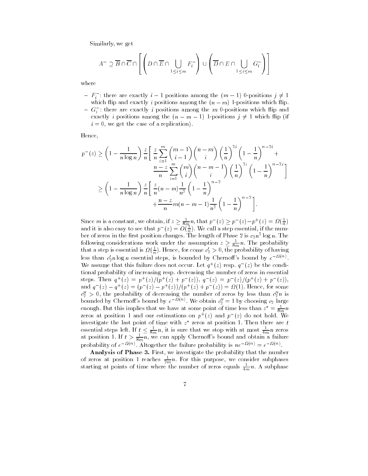Similarly, we get

$$
A^- \supseteq \overline{B} \cap \overline{C} \cap \left[ \left( D \cap \overline{E} \cap \bigcup_{1 \le i \le m} F_i^- \right) \cup \left( \overline{D} \cap E \cap \bigcup_{1 \le i \le m} G_i^- \right) \right]
$$
  
where

 $=$   $F_s$  : there are exactly  $i-1$  positions among the (m  $-$  1) 0-positions  $j\neq 1$ is and exactly interest contractly in processions are exactly in an order of the procession in an among the co  $=$   $\mathrm{G}_{i}$  : there are exactly  $i$  positions among the  $m$  U-positions which flip and exactly in positions and (n m in 1) is the following the (n if  $f$  6 minutes in the following the following the following the following the following the following the following the following the following the following t

 $i = 0$ , we get the case of a replication).

Hence,

$$
p^{-}(z) \ge \left(1 - \frac{1}{n \log n}\right) \frac{z}{n} \left[ \frac{z}{n} \sum_{i=1}^{m} {m-1 \choose i-1} {n-m \choose i} \left(\frac{1}{n}\right)^{2i} \left(1 - \frac{1}{n}\right)^{n-2i} + \frac{n-z}{n} \sum_{i=1}^{m} {m \choose i} {n-m-1 \choose i} \left(\frac{1}{n}\right)^{2i} \left(1 - \frac{1}{n}\right)^{n-2i} \right]
$$
  

$$
\ge \left(1 - \frac{1}{n \log n}\right) \frac{z}{n} \left[ \frac{z}{n} (n-m) \frac{1}{n^{2}} \left(1 - \frac{1}{n}\right)^{n-2} + \frac{n-z}{n} m(n-m-1) \frac{1}{n^{2}} \left(1 - \frac{1}{n}\right)^{n-2} \right].
$$

Since m is a constant, we obtain, if  $z \geq \frac{1}{8m}n$ , that  $p^-(z) \geq p^-(z)-p^+(z) = M(\frac{1}{n})$ and it is also easy to see that  $p_-(z)=O(\frac{z}{n})$ . We call a step essential, if the number of zeros in the first position changes. The length of Phase 2 is  $c_2n^2 \log n$ . The following considerations work under the assumption  $z \geq \frac{1}{8m}n$ . The probability that a step is essential is  $\Omega(\frac{1}{n})$ . Hence, for come  $c_2 > 0$ , the probability of having less than  $c'_2$ n log n essential steps, is bounded by Chernoff's bound by  $e^{-\Omega(n)}$ . We assume that this failure does not occur. Let  $q^+(z)$  resp.  $q^-(z)$  be the conditional probability of increasing resp. decreasing the number of zeros in essential steps. Inen  $q^+(z) = p^+(z)/(p^+(z) + p^-(z))$ ,  $q^-(z) = p^-(z)/(p^+(z) + p^-(z))$ , and  $q_-(z) = q_+(z) = (p_-(z) - p_+(z))/p_+(z) + p_-(z) = M(1)$ . Hence, for some  $c_2$   $>$  0, the probability of decreasing the number of zeros by less than  $c_2n$  is bounded by Chernoff's bound by  $e^{-\mathcal{U}(n)}$ . We obtain  $c''_2 = 1$  by choosing  $c_2$  large enough. But this implies that we have at some point of time less than  $z^* = \frac{1}{8m}n$ zeros at position 1 and our estimations on  $p^+(z)$  and  $p^-(z)$  do not hold. We investigate the last point of time with z essential steps left. If  $t \leq \frac{1}{8m}n$ , it is sure that we stop with at most  $\frac{1}{4m}n$  zeros at position 1. If  $t > \frac{1}{8m}n$ , we can apply Chernoff's bound and obtain a failure probability of  $e^{-i\omega_0}$ . Altogether the failure probability is  $ne^{-i\omega_0} = e^{-i\omega_0}$ .

Analysis of Phase 3. First, we investigate the probability that the number of zeros at position 1 reaches  $\frac{1}{2m}n$ . For this purpose, we consider subphases starting at points of time where the number of zeros equals  $\frac{1}{4m}n$ . A subphase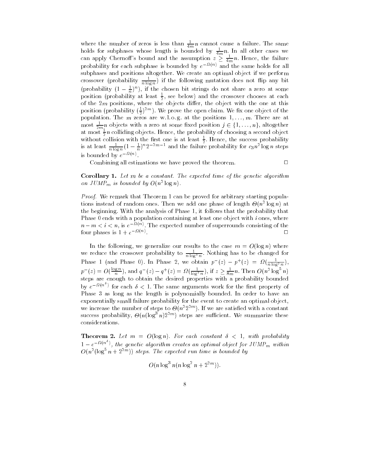where the number of zeros is less than  $\frac{1}{4m}n$  cannot cause a failure. The same<br>holds for subphases whose length is bounded by  $\frac{1}{4m}n$ . In all other cases we can apply Chernoff's bound and the assumption  $z \geq \frac{1}{4m}n$ . Hence, the failure probability for each subphase is bounded by  $e^{-i\mathcal{L}(\cdot)}$  and the same holds for all subphases and positions altogether. We create an optimal object if we perform crossover (probability  $\frac{1}{n \log n}$ ) if the following mutation does not flip any bit (probability  $(1-\frac{1}{n})^n$ ), if the chosen bit strings do not share a zero at some position (probability at least  $\frac{1}{6}$ , see below) and the crossover chooses at each <u>—</u> of the 2m positions, where the objects dier, the object with the one at this position (probability  $(\frac{1}{2})^{2m}$ ). We prove the open claim. We fix one object of the  $$ population. The m zeros are w. l. o. g. at the positions 1; : : :;m. There are at most  $\frac{1}{2m}n$  objects with a zero at some fixed position  $j \in \{1,\ldots,n\}$ , altogether at most  $\frac{1}{2}n$  colliding objects. Hence, the probability of choosing a second object without collision with the first one is at least  $\frac{1}{2}$ . Hence, the success probability<br>is at least  $\frac{1}{n \log n} (1 - \frac{1}{n})^n 2^{-2m-1}$  and the failure probability for  $c_3 n^2 \log n$  steps is bounded by  $e^{-i\epsilon \langle \psi \rangle}$ .

Combining all estimations we have proved the theorem.  $\Box$ 

**Corollary 1.** Let  $m$  be a constant. The expected time of the genetic algorithm on JUMP<sub>m</sub> is bounded by  $O(n^2 \log n)$ .

Proof. We remark that Theorem 1 can be proved for arbitrary starting populations instead of random ones. Then we add one phase of length  $\Theta(n^2 \log n)$  at the beginning. With the analysis of Phase 1, it follows that the probability that Phase  $0$  ends with a population containing at least one object with  $i$  ones, where  $n-m < i < n$ , is  $e^{-i\zeta^{(n)}}$ . The expected number of superrounds consisting of the  $\Box$ four phases is  $1 + e^{-i \cdot \cdot \cdot n}$ .

In the following, we generalize our results to the case  $m = O(\log n)$  where we reduce the crossover probability to  $\frac{1}{n \log^3 n}$ . Nothing has to be changed for Phase 1 (and Phase 0). In Phase 2, we obtain  $p_-(z) - p_-(z) = M(\frac{1}{n \log^2 n})$ ,  $p^{-}(z) = O(\frac{\log m}{n})$ , and  $q^{-}(z) - q^{+}(z) = \Omega(\frac{1}{\log^3 n})$ , if  $z \ge \frac{1}{8m}n$ . Then  $O(n^2 \log^5 n)$ steps are enough to obtain the desired properties with a probability bounded by  $e^{-\mu(n^{-})}$  for each  $\delta < 1$ . The same arguments work for the first property of Phase 3 as long as the length is polynomially bounded. In order to have an exponentially small failure probability for the event to create an optimal object, we increase the number of steps to  $\Theta(n^2 2^{n})$ . If we are satisfied with a constant success probability,  $\Theta(n(\log^2 n)2^{2m})$  steps are sufficient. We summarize these considerations.

**Theorem 2.** Let  $m = O(\log n)$ . For each constant  $\delta < 1$ , with probability  $1-e^{-M(n^*)}$ , the genetic algorithm creates an optimal object for  $JUMP_m$  within  $O(n^2(\log^2 n + 2^{2m}))$  steps. The expected run time is bounded by

$$
O(n \log^3 n (n \log^2 n + 2^{2m})).
$$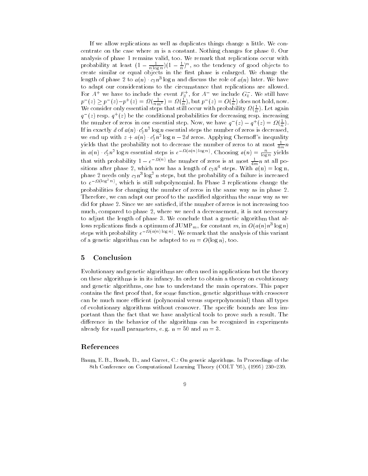If we allow replications as well as duplicates things change a little. We concentrate on the case where m is a constant. Nothing changes for phase 0. Our analysis of phase 1 remains valid, too. We remark that replications occur with probability at least  $(1 - \frac{1}{n \log n})(1 - \frac{1}{n})^n$ , so the tendency of good objects to create similar or equal objects in the rst phase is enlarged. We change the length of phase 2 to  $a(n)$  ·  $c_2n$  log n and discuss the role of  $a(n)$  later. We have For  $A^+$  we have to include the event  $F_0^+$ , for  $A^-$  we include  $G_0^-$ . We still have  $p_{-}(z) \geq p_{-}(z)-p_{-}(z) = \Omega(\frac{z}{n m^2}) = \Omega(\frac{z}{n})$ , but  $p_{-}(z) = O(\frac{z}{n})$  does not hold, now. We consider only essential steps that still occur with probability  $\Omega(\frac{1}{n})$ . Let again  $q^-(z)$  resp.  $q^+(z)$  be the conditional probabilities for decreasing resp. increasing the number of zeros in one essential step. Now, we have  $q^-(z) - q^+(z) = M(\frac{1}{n})$ . If in exactly d of  $a(n) \cdot c_2' n^2$  log n essential steps the number of zeros is decreased, we end up with  $z + a(n) \cdot c'_2 n^2 \log n - 2d$  zeros. Applying Chernoff's inequality yields that the probability not to decrease the number of zeros to at most  $\frac{1}{4m}n$ in  $a(n) \cdot c'_2 n^2 \log n$  essential steps is  $e^{-\Omega(a(n) \log n)}$ . Choosing  $a(n) = \frac{n}{\log n}$  yields that with probability  $1 - e^{-\alpha(n)}$  the number of zeros is at most  $\frac{1}{4m}n$  at all positions after phase 2, which now has a length of  $c_2n^4$  steps. With  $a(n) = \log n$ , phase 2 needs only  $c_2n^{\circ}$  log<sup>2</sup> n steps, but the probability of a failure is increased to  $e^{-\frac{1}{2}(\log^2 n)}$ , which is still subpolynomial. In Phase 3 replications change the probabilities for changing the number of zeros in the same way as in phase 2. Therefore, we can adapt our proof to the modied algorithm the same way as we did for phase 2. Since we are satised, if the number of zeros is not increasing too much, compared to phase 2, where we need a decreasement, it is not necessary to adjust the length of phase 3. We conclude that a genetic algorithm that allows replications finds a optimum of JUMP  $_m$  , for constant  $m$ , in  $O(a(n)n^{\gamma} \log n)$ steps with probability  $e^{-i\ell(\alpha(n)\log n)}$ . We remark that the analysis of this variant of a genetic algorithm can be adapted to  $m = O(\log n)$ , too.

### 5 Conclusion

Evolutionary and genetic algorithms are often used in applications but the theory on these algorithms is in its infancy. In order to obtain a theory on evolutionary and genetic algorithms, one has to understand the main operators. This paper contains the first proof that, for some function, genetic algorithms with crossover can be much more efficient (polynomial versus superpolynomial) than all types of evolutionary algorithms without crossover. The specic bounds are less important than the fact that we have analytical tools to prove such a result. The difference in the behavior of the algorithms can be recognized in experiments already for small parameters, e.g.  $n = 50$  and  $m = 3$ .

### References

Baum, E. B., Boneh, D., and Garret, C.: On genetic algorithms. In Proceedings of the 8th Conference on Computational Learning Theory (COLT '95), (1995) 230-239.